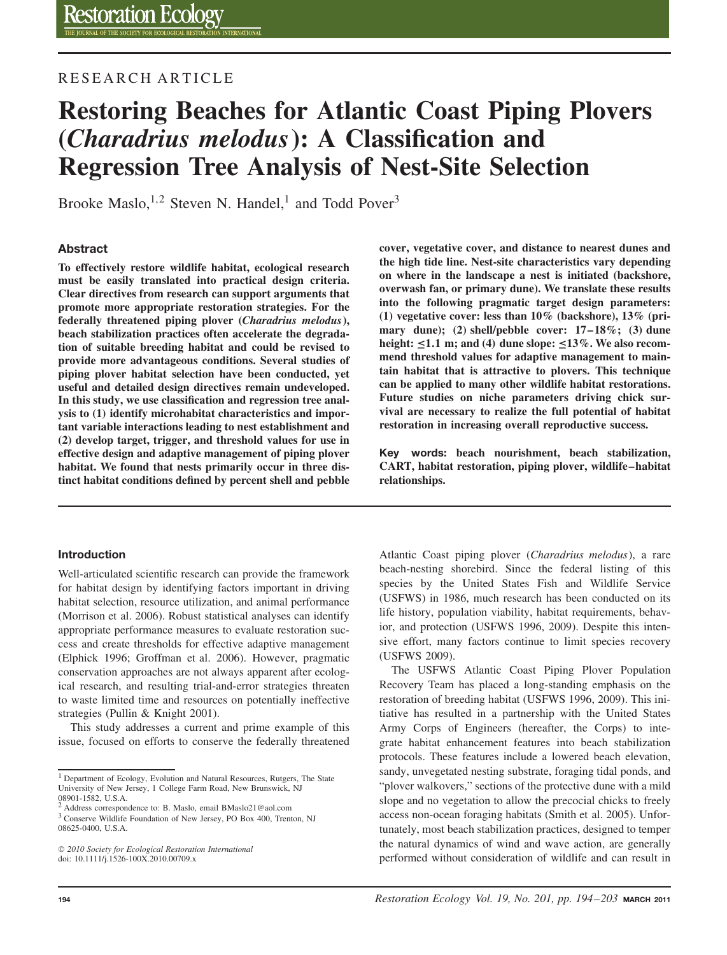## RESEARCH ARTICLE

# **Restoring Beaches for Atlantic Coast Piping Plovers (***Charadrius melodus***): A Classification and Regression Tree Analysis of Nest-Site Selection**

Brooke Maslo,<sup>1,2</sup> Steven N. Handel,<sup>1</sup> and Todd Pover<sup>3</sup>

## **Abstract**

**To effectively restore wildlife habitat, ecological research must be easily translated into practical design criteria. Clear directives from research can support arguments that promote more appropriate restoration strategies. For the federally threatened piping plover (***Charadrius melodus***), beach stabilization practices often accelerate the degradation of suitable breeding habitat and could be revised to provide more advantageous conditions. Several studies of piping plover habitat selection have been conducted, yet useful and detailed design directives remain undeveloped. In this study, we use classification and regression tree analysis to (1) identify microhabitat characteristics and important variable interactions leading to nest establishment and (2) develop target, trigger, and threshold values for use in effective design and adaptive management of piping plover habitat. We found that nests primarily occur in three distinct habitat conditions defined by percent shell and pebble**

## **Introduction**

Well-articulated scientific research can provide the framework for habitat design by identifying factors important in driving habitat selection, resource utilization, and animal performance (Morrison et al. 2006). Robust statistical analyses can identify appropriate performance measures to evaluate restoration success and create thresholds for effective adaptive management (Elphick 1996; Groffman et al. 2006). However, pragmatic conservation approaches are not always apparent after ecological research, and resulting trial-and-error strategies threaten to waste limited time and resources on potentially ineffective strategies (Pullin & Knight 2001).

This study addresses a current and prime example of this issue, focused on efforts to conserve the federally threatened

**cover, vegetative cover, and distance to nearest dunes and the high tide line. Nest-site characteristics vary depending on where in the landscape a nest is initiated (backshore, overwash fan, or primary dune). We translate these results into the following pragmatic target design parameters: (1) vegetative cover: less than 10% (backshore), 13% (primary dune); (2) shell/pebble cover: 17–18%; (3) dune** height:  $\leq 1.1$  m; and (4) dune slope:  $\leq 13\%$ . We also recom**mend threshold values for adaptive management to maintain habitat that is attractive to plovers. This technique can be applied to many other wildlife habitat restorations. Future studies on niche parameters driving chick survival are necessary to realize the full potential of habitat restoration in increasing overall reproductive success.**

**Key words: beach nourishment, beach stabilization, CART, habitat restoration, piping plover, wildlife–habitat relationships.**

Atlantic Coast piping plover (*Charadrius melodus*), a rare beach-nesting shorebird. Since the federal listing of this species by the United States Fish and Wildlife Service (USFWS) in 1986, much research has been conducted on its life history, population viability, habitat requirements, behavior, and protection (USFWS 1996, 2009). Despite this intensive effort, many factors continue to limit species recovery (USFWS 2009).

The USFWS Atlantic Coast Piping Plover Population Recovery Team has placed a long-standing emphasis on the restoration of breeding habitat (USFWS 1996, 2009). This initiative has resulted in a partnership with the United States Army Corps of Engineers (hereafter, the Corps) to integrate habitat enhancement features into beach stabilization protocols. These features include a lowered beach elevation, sandy, unvegetated nesting substrate, foraging tidal ponds, and "plover walkovers," sections of the protective dune with a mild slope and no vegetation to allow the precocial chicks to freely access non-ocean foraging habitats (Smith et al. 2005). Unfortunately, most beach stabilization practices, designed to temper the natural dynamics of wind and wave action, are generally performed without consideration of wildlife and can result in

<sup>1</sup> Department of Ecology, Evolution and Natural Resources, Rutgers, The State University of New Jersey, 1 College Farm Road, New Brunswick, NJ

<sup>08901-1582,</sup> U.S.A. <sup>2</sup> Address correspondence to: B. Maslo, email BMaslo21@aol.com

<sup>3</sup> Conserve Wildlife Foundation of New Jersey, PO Box 400, Trenton, NJ 08625-0400, U.S.A.

<sup>©</sup> *2010 Society for Ecological Restoration International* doi: 10.1111/j.1526-100X.2010.00709.x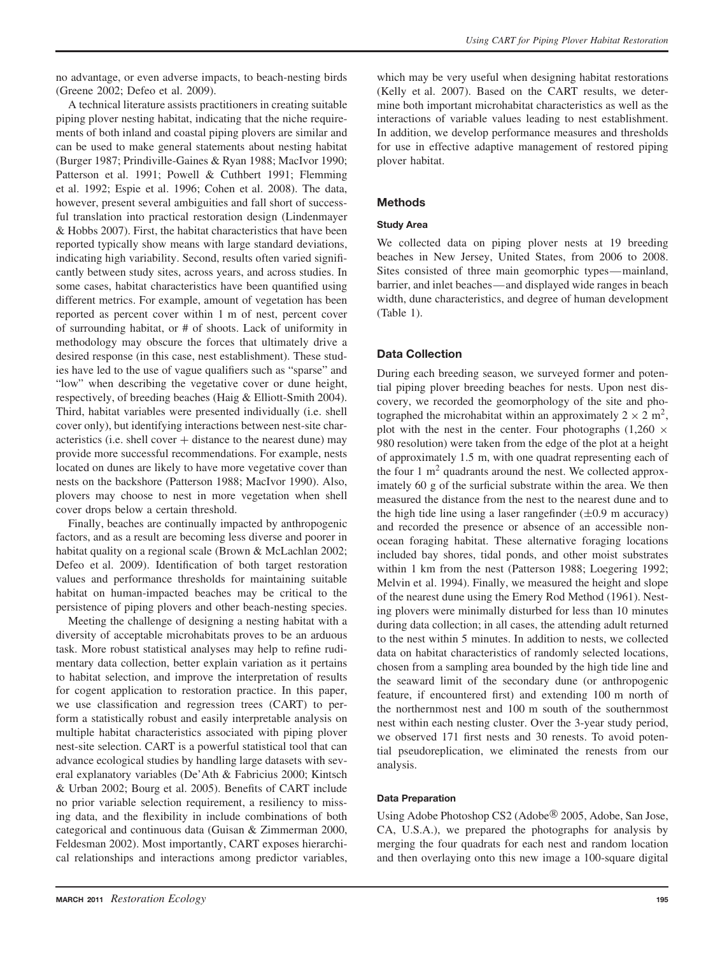no advantage, or even adverse impacts, to beach-nesting birds (Greene 2002; Defeo et al. 2009).

A technical literature assists practitioners in creating suitable piping plover nesting habitat, indicating that the niche requirements of both inland and coastal piping plovers are similar and can be used to make general statements about nesting habitat (Burger 1987; Prindiville-Gaines & Ryan 1988; MacIvor 1990; Patterson et al. 1991; Powell & Cuthbert 1991; Flemming et al. 1992; Espie et al. 1996; Cohen et al. 2008). The data, however, present several ambiguities and fall short of successful translation into practical restoration design (Lindenmayer & Hobbs 2007). First, the habitat characteristics that have been reported typically show means with large standard deviations, indicating high variability. Second, results often varied significantly between study sites, across years, and across studies. In some cases, habitat characteristics have been quantified using different metrics. For example, amount of vegetation has been reported as percent cover within 1 m of nest, percent cover of surrounding habitat, or # of shoots. Lack of uniformity in methodology may obscure the forces that ultimately drive a desired response (in this case, nest establishment). These studies have led to the use of vague qualifiers such as "sparse" and "low" when describing the vegetative cover or dune height, respectively, of breeding beaches (Haig & Elliott-Smith 2004). Third, habitat variables were presented individually (i.e. shell cover only), but identifying interactions between nest-site characteristics (i.e. shell cover  $+$  distance to the nearest dune) may provide more successful recommendations. For example, nests located on dunes are likely to have more vegetative cover than nests on the backshore (Patterson 1988; MacIvor 1990). Also, plovers may choose to nest in more vegetation when shell cover drops below a certain threshold.

Finally, beaches are continually impacted by anthropogenic factors, and as a result are becoming less diverse and poorer in habitat quality on a regional scale (Brown & McLachlan 2002; Defeo et al. 2009). Identification of both target restoration values and performance thresholds for maintaining suitable habitat on human-impacted beaches may be critical to the persistence of piping plovers and other beach-nesting species.

Meeting the challenge of designing a nesting habitat with a diversity of acceptable microhabitats proves to be an arduous task. More robust statistical analyses may help to refine rudimentary data collection, better explain variation as it pertains to habitat selection, and improve the interpretation of results for cogent application to restoration practice. In this paper, we use classification and regression trees (CART) to perform a statistically robust and easily interpretable analysis on multiple habitat characteristics associated with piping plover nest-site selection. CART is a powerful statistical tool that can advance ecological studies by handling large datasets with several explanatory variables (De'Ath & Fabricius 2000; Kintsch & Urban 2002; Bourg et al. 2005). Benefits of CART include no prior variable selection requirement, a resiliency to missing data, and the flexibility in include combinations of both categorical and continuous data (Guisan & Zimmerman 2000, Feldesman 2002). Most importantly, CART exposes hierarchical relationships and interactions among predictor variables, which may be very useful when designing habitat restorations (Kelly et al. 2007). Based on the CART results, we determine both important microhabitat characteristics as well as the interactions of variable values leading to nest establishment. In addition, we develop performance measures and thresholds for use in effective adaptive management of restored piping plover habitat.

## **Methods**

## **Study Area**

We collected data on piping plover nests at 19 breeding beaches in New Jersey, United States, from 2006 to 2008. Sites consisted of three main geomorphic types—mainland, barrier, and inlet beaches—and displayed wide ranges in beach width, dune characteristics, and degree of human development (Table 1).

## **Data Collection**

During each breeding season, we surveyed former and potential piping plover breeding beaches for nests. Upon nest discovery, we recorded the geomorphology of the site and photographed the microhabitat within an approximately  $2 \times 2$  m<sup>2</sup>, plot with the nest in the center. Four photographs  $(1,260 \times$ 980 resolution) were taken from the edge of the plot at a height of approximately 1.5 m, with one quadrat representing each of the four  $1 \text{ m}^2$  quadrants around the nest. We collected approximately 60 g of the surficial substrate within the area. We then measured the distance from the nest to the nearest dune and to the high tide line using a laser rangefinder  $(\pm 0.9 \text{ m} \text{ accuracy})$ and recorded the presence or absence of an accessible nonocean foraging habitat. These alternative foraging locations included bay shores, tidal ponds, and other moist substrates within 1 km from the nest (Patterson 1988; Loegering 1992; Melvin et al. 1994). Finally, we measured the height and slope of the nearest dune using the Emery Rod Method (1961). Nesting plovers were minimally disturbed for less than 10 minutes during data collection; in all cases, the attending adult returned to the nest within 5 minutes. In addition to nests, we collected data on habitat characteristics of randomly selected locations, chosen from a sampling area bounded by the high tide line and the seaward limit of the secondary dune (or anthropogenic feature, if encountered first) and extending 100 m north of the northernmost nest and 100 m south of the southernmost nest within each nesting cluster. Over the 3-year study period, we observed 171 first nests and 30 renests. To avoid potential pseudoreplication, we eliminated the renests from our analysis.

## **Data Preparation**

Using Adobe Photoshop CS2 (Adobe® 2005, Adobe, San Jose, CA, U.S.A.), we prepared the photographs for analysis by merging the four quadrats for each nest and random location and then overlaying onto this new image a 100-square digital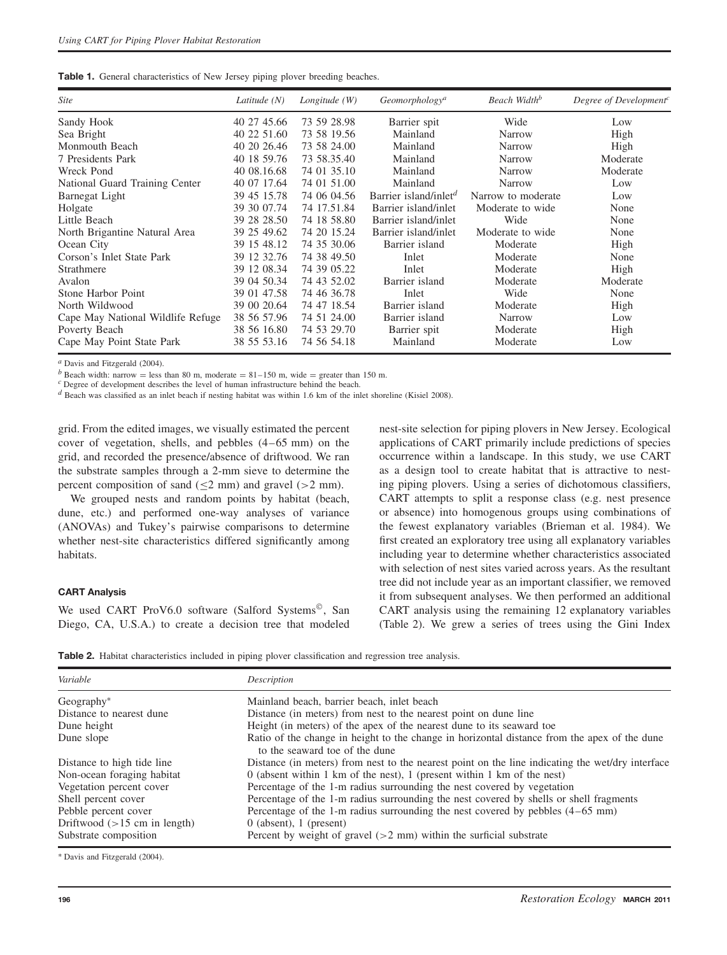| <b>Table 1.</b> General characteristics of New Jersey piping plover breeding beaches. |  |
|---------------------------------------------------------------------------------------|--|
|---------------------------------------------------------------------------------------|--|

| <i>Site</i>                       | Latitude $(N)$ | Longitude (W) | Geomorphology <sup>a</sup>        | Beach Width <sup>b</sup> | Degree of Development <sup>c</sup> |
|-----------------------------------|----------------|---------------|-----------------------------------|--------------------------|------------------------------------|
| Sandy Hook                        | 40 27 45.66    | 73 59 28.98   | Barrier spit                      | Wide                     | Low                                |
| Sea Bright                        | 40 22 51.60    | 73 58 19.56   | Mainland                          | Narrow                   | High                               |
| Monmouth Beach                    | 40 20 26.46    | 73 58 24.00   | Mainland                          | Narrow                   | High                               |
| 7 Presidents Park                 | 40 18 59.76    | 73 58.35.40   | Mainland                          | Narrow                   | Moderate                           |
| Wreck Pond                        | 40 08.16.68    | 74 01 35.10   | Mainland                          | Narrow                   | Moderate                           |
| National Guard Training Center    | 40 07 17.64    | 74 01 51.00   | Mainland                          | Narrow                   | Low                                |
| Barnegat Light                    | 39 45 15.78    | 74 06 04.56   | Barrier island/inlet <sup>d</sup> | Narrow to moderate       | Low                                |
| Holgate                           | 39 30 07.74    | 74 17.51.84   | Barrier island/inlet              | Moderate to wide         | None                               |
| Little Beach                      | 39 28 28.50    | 74 18 58.80   | Barrier island/inlet              | Wide                     | None                               |
| North Brigantine Natural Area     | 39 25 49.62    | 74 20 15.24   | Barrier island/inlet              | Moderate to wide         | None                               |
| Ocean City                        | 39 15 48.12    | 74 35 30.06   | Barrier island                    | Moderate                 | High                               |
| Corson's Inlet State Park         | 39 12 32.76    | 74 38 49.50   | Inlet                             | Moderate                 | None                               |
| Strathmere                        | 39 12 08:34    | 74 39 05.22   | Inlet                             | Moderate                 | High                               |
| Avalon                            | 39 04 50.34    | 74 43 52.02   | Barrier island                    | Moderate                 | Moderate                           |
| Stone Harbor Point                | 39 01 47.58    | 74 46 36.78   | Inlet                             | Wide                     | None                               |
| North Wildwood                    | 39 00 20.64    | 74 47 18.54   | Barrier island                    | Moderate                 | High                               |
| Cape May National Wildlife Refuge | 38 56 57.96    | 74 51 24.00   | Barrier island                    | Narrow                   | Low                                |
| Poverty Beach                     | 38 56 16.80    | 74 53 29.70   | Barrier spit                      | Moderate                 | High                               |
| Cape May Point State Park         | 38 55 53.16    | 74 56 54.18   | Mainland                          | Moderate                 | Low                                |

*<sup>a</sup>* Davis and Fitzgerald (2004).

*b* Beach width: narrow = less than 80 m, moderate = 81–150 m, wide = greater than 150 m. *c* Degree of development describes the level of human infrastructure behind the beach.

*<sup>d</sup>* Beach was classified as an inlet beach if nesting habitat was within 1.6 km of the inlet shoreline (Kisiel 2008).

grid. From the edited images, we visually estimated the percent cover of vegetation, shells, and pebbles (4–65 mm) on the grid, and recorded the presence/absence of driftwood. We ran the substrate samples through a 2-mm sieve to determine the percent composition of sand  $(\leq 2$  mm) and gravel ( $> 2$  mm).

We grouped nests and random points by habitat (beach, dune, etc.) and performed one-way analyses of variance (ANOVAs) and Tukey's pairwise comparisons to determine whether nest-site characteristics differed significantly among habitats.

#### **CART Analysis**

We used CART ProV6.0 software (Salford Systems<sup>©</sup>, San Diego, CA, U.S.A.) to create a decision tree that modeled

nest-site selection for piping plovers in New Jersey. Ecological applications of CART primarily include predictions of species occurrence within a landscape. In this study, we use CART as a design tool to create habitat that is attractive to nesting piping plovers. Using a series of dichotomous classifiers, CART attempts to split a response class (e.g. nest presence or absence) into homogenous groups using combinations of the fewest explanatory variables (Brieman et al. 1984). We first created an exploratory tree using all explanatory variables including year to determine whether characteristics associated with selection of nest sites varied across years. As the resultant tree did not include year as an important classifier, we removed it from subsequent analyses. We then performed an additional CART analysis using the remaining 12 explanatory variables (Table 2). We grew a series of trees using the Gini Index

**Table 2.** Habitat characteristics included in piping plover classification and regression tree analysis.

| Variable                       | Description                                                                                                                    |  |  |  |
|--------------------------------|--------------------------------------------------------------------------------------------------------------------------------|--|--|--|
| $Geography^*$                  | Mainland beach, barrier beach, inlet beach                                                                                     |  |  |  |
| Distance to nearest dune       | Distance (in meters) from nest to the nearest point on dune line                                                               |  |  |  |
| Dune height                    | Height (in meters) of the apex of the nearest dune to its seaward toe                                                          |  |  |  |
| Dune slope                     | Ratio of the change in height to the change in horizontal distance from the apex of the dune<br>to the seaward toe of the dune |  |  |  |
| Distance to high tide line     | Distance (in meters) from nest to the nearest point on the line indicating the wet/dry interface                               |  |  |  |
| Non-ocean foraging habitat     | 0 (absent within 1 km of the nest), 1 (present within 1 km of the nest)                                                        |  |  |  |
| Vegetation percent cover       | Percentage of the 1-m radius surrounding the nest covered by vegetation                                                        |  |  |  |
| Shell percent cover            | Percentage of the 1-m radius surrounding the nest covered by shells or shell fragments                                         |  |  |  |
| Pebble percent cover           | Percentage of the 1-m radius surrounding the nest covered by pebbles $(4-65$ mm)                                               |  |  |  |
| Driftwood $(>15$ cm in length) | $0$ (absent), 1 (present)                                                                                                      |  |  |  |
| Substrate composition          | Percent by weight of gravel $(>2$ mm) within the surficial substrate                                                           |  |  |  |

∗ Davis and Fitzgerald (2004).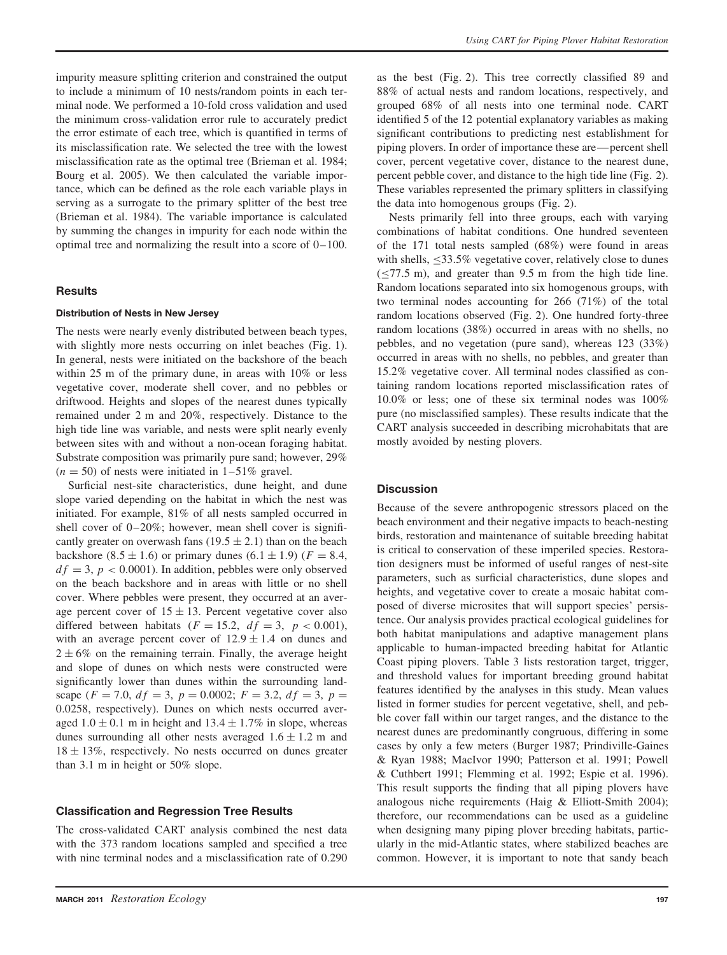impurity measure splitting criterion and constrained the output to include a minimum of 10 nests/random points in each terminal node. We performed a 10-fold cross validation and used the minimum cross-validation error rule to accurately predict the error estimate of each tree, which is quantified in terms of its misclassification rate. We selected the tree with the lowest misclassification rate as the optimal tree (Brieman et al. 1984; Bourg et al. 2005). We then calculated the variable importance, which can be defined as the role each variable plays in serving as a surrogate to the primary splitter of the best tree (Brieman et al. 1984). The variable importance is calculated by summing the changes in impurity for each node within the optimal tree and normalizing the result into a score of 0–100.

#### **Results**

#### **Distribution of Nests in New Jersey**

The nests were nearly evenly distributed between beach types, with slightly more nests occurring on inlet beaches (Fig. 1). In general, nests were initiated on the backshore of the beach within 25 m of the primary dune, in areas with 10% or less vegetative cover, moderate shell cover, and no pebbles or driftwood. Heights and slopes of the nearest dunes typically remained under 2 m and 20%, respectively. Distance to the high tide line was variable, and nests were split nearly evenly between sites with and without a non-ocean foraging habitat. Substrate composition was primarily pure sand; however, 29%  $(n = 50)$  of nests were initiated in  $1-51\%$  gravel.

Surficial nest-site characteristics, dune height, and dune slope varied depending on the habitat in which the nest was initiated. For example, 81% of all nests sampled occurred in shell cover of 0–20%; however, mean shell cover is significantly greater on overwash fans  $(19.5 \pm 2.1)$  than on the beach backshore  $(8.5 \pm 1.6)$  or primary dunes  $(6.1 \pm 1.9)$   $(F = 8.4,$  $df = 3$ ,  $p < 0.0001$ ). In addition, pebbles were only observed on the beach backshore and in areas with little or no shell cover. Where pebbles were present, they occurred at an average percent cover of  $15 \pm 13$ . Percent vegetative cover also differed between habitats  $(F = 15.2, df = 3, p < 0.001)$ , with an average percent cover of  $12.9 \pm 1.4$  on dunes and  $2 \pm 6\%$  on the remaining terrain. Finally, the average height and slope of dunes on which nests were constructed were significantly lower than dunes within the surrounding landscape ( $F = 7.0$ ,  $df = 3$ ,  $p = 0.0002$ ;  $F = 3.2$ ,  $df = 3$ ,  $p =$ 0*.*0258, respectively). Dunes on which nests occurred averaged  $1.0 \pm 0.1$  m in height and  $13.4 \pm 1.7\%$  in slope, whereas dunes surrounding all other nests averaged  $1.6 \pm 1.2$  m and  $18 \pm 13\%$ , respectively. No nests occurred on dunes greater than 3.1 m in height or 50% slope.

#### **Classification and Regression Tree Results**

The cross-validated CART analysis combined the nest data with the 373 random locations sampled and specified a tree with nine terminal nodes and a misclassification rate of 0.290

as the best (Fig. 2). This tree correctly classified 89 and 88% of actual nests and random locations, respectively, and grouped 68% of all nests into one terminal node. CART identified 5 of the 12 potential explanatory variables as making significant contributions to predicting nest establishment for piping plovers. In order of importance these are—percent shell cover, percent vegetative cover, distance to the nearest dune, percent pebble cover, and distance to the high tide line (Fig. 2). These variables represented the primary splitters in classifying the data into homogenous groups (Fig. 2).

Nests primarily fell into three groups, each with varying combinations of habitat conditions. One hundred seventeen of the 171 total nests sampled (68%) were found in areas with shells,  $\leq 33.5\%$  vegetative cover, relatively close to dunes (≤77*.*5 m), and greater than 9.5 m from the high tide line. Random locations separated into six homogenous groups, with two terminal nodes accounting for 266 (71%) of the total random locations observed (Fig. 2). One hundred forty-three random locations (38%) occurred in areas with no shells, no pebbles, and no vegetation (pure sand), whereas 123 (33%) occurred in areas with no shells, no pebbles, and greater than 15.2% vegetative cover. All terminal nodes classified as containing random locations reported misclassification rates of 10.0% or less; one of these six terminal nodes was 100% pure (no misclassified samples). These results indicate that the CART analysis succeeded in describing microhabitats that are mostly avoided by nesting plovers.

## **Discussion**

Because of the severe anthropogenic stressors placed on the beach environment and their negative impacts to beach-nesting birds, restoration and maintenance of suitable breeding habitat is critical to conservation of these imperiled species. Restoration designers must be informed of useful ranges of nest-site parameters, such as surficial characteristics, dune slopes and heights, and vegetative cover to create a mosaic habitat composed of diverse microsites that will support species' persistence. Our analysis provides practical ecological guidelines for both habitat manipulations and adaptive management plans applicable to human-impacted breeding habitat for Atlantic Coast piping plovers. Table 3 lists restoration target, trigger, and threshold values for important breeding ground habitat features identified by the analyses in this study. Mean values listed in former studies for percent vegetative, shell, and pebble cover fall within our target ranges, and the distance to the nearest dunes are predominantly congruous, differing in some cases by only a few meters (Burger 1987; Prindiville-Gaines & Ryan 1988; MacIvor 1990; Patterson et al. 1991; Powell & Cuthbert 1991; Flemming et al. 1992; Espie et al. 1996). This result supports the finding that all piping plovers have analogous niche requirements (Haig & Elliott-Smith 2004); therefore, our recommendations can be used as a guideline when designing many piping plover breeding habitats, particularly in the mid-Atlantic states, where stabilized beaches are common. However, it is important to note that sandy beach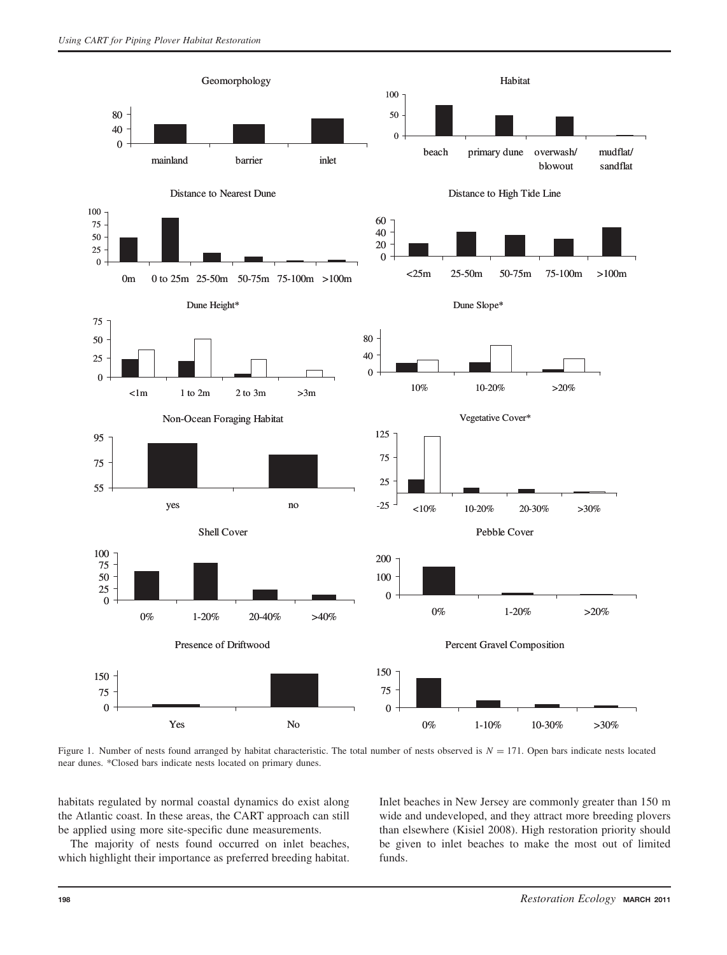

near dunes. \*Closed bars indicate nests located on primary dunes.

habitats regulated by normal coastal dynamics do exist along the Atlantic coast. In these areas, the CART approach can still be applied using more site-specific dune measurements.

The majority of nests found occurred on inlet beaches, which highlight their importance as preferred breeding habitat.

Inlet beaches in New Jersey are commonly greater than 150 m wide and undeveloped, and they attract more breeding plovers than elsewhere (Kisiel 2008). High restoration priority should be given to inlet beaches to make the most out of limited funds.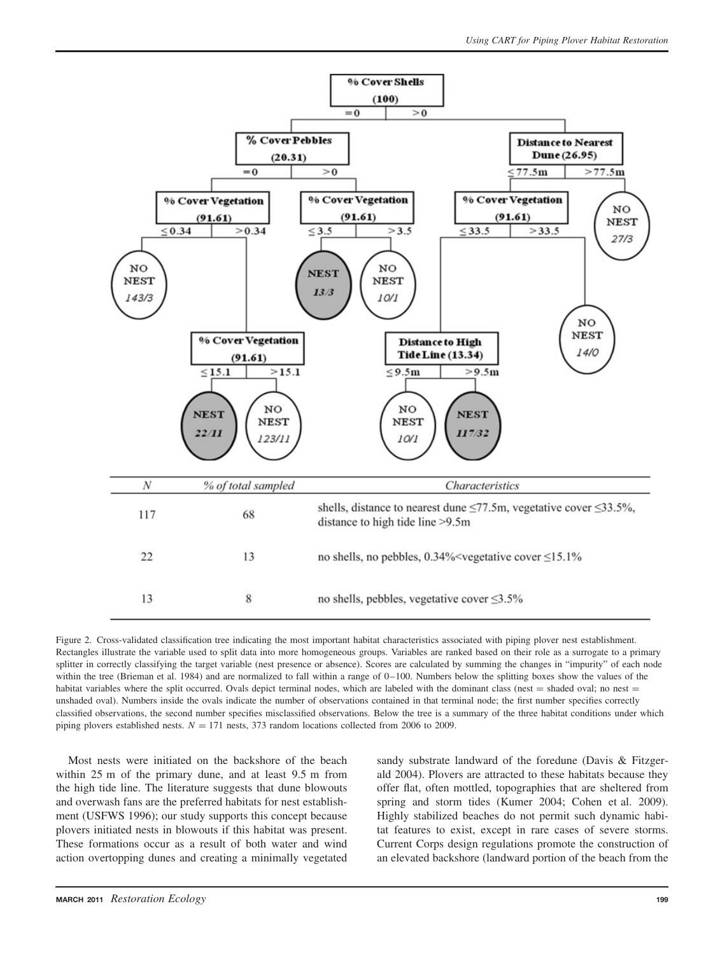

Figure 2. Cross-validated classification tree indicating the most important habitat characteristics associated with piping plover nest establishment. Rectangles illustrate the variable used to split data into more homogeneous groups. Variables are ranked based on their role as a surrogate to a primary splitter in correctly classifying the target variable (nest presence or absence). Scores are calculated by summing the changes in "impurity" of each node within the tree (Brieman et al. 1984) and are normalized to fall within a range of 0–100. Numbers below the splitting boxes show the values of the habitat variables where the split occurred. Ovals depict terminal nodes, which are labeled with the dominant class (nest = shaded oval; no nest = unshaded oval). Numbers inside the ovals indicate the number of observations contained in that terminal node; the first number specifies correctly classified observations, the second number specifies misclassified observations. Below the tree is a summary of the three habitat conditions under which piping plovers established nests.  $N = 171$  nests, 373 random locations collected from 2006 to 2009.

Most nests were initiated on the backshore of the beach within 25 m of the primary dune, and at least 9.5 m from the high tide line. The literature suggests that dune blowouts and overwash fans are the preferred habitats for nest establishment (USFWS 1996); our study supports this concept because plovers initiated nests in blowouts if this habitat was present. These formations occur as a result of both water and wind action overtopping dunes and creating a minimally vegetated

sandy substrate landward of the foredune (Davis & Fitzgerald 2004). Plovers are attracted to these habitats because they offer flat, often mottled, topographies that are sheltered from spring and storm tides (Kumer 2004; Cohen et al. 2009). Highly stabilized beaches do not permit such dynamic habitat features to exist, except in rare cases of severe storms. Current Corps design regulations promote the construction of an elevated backshore (landward portion of the beach from the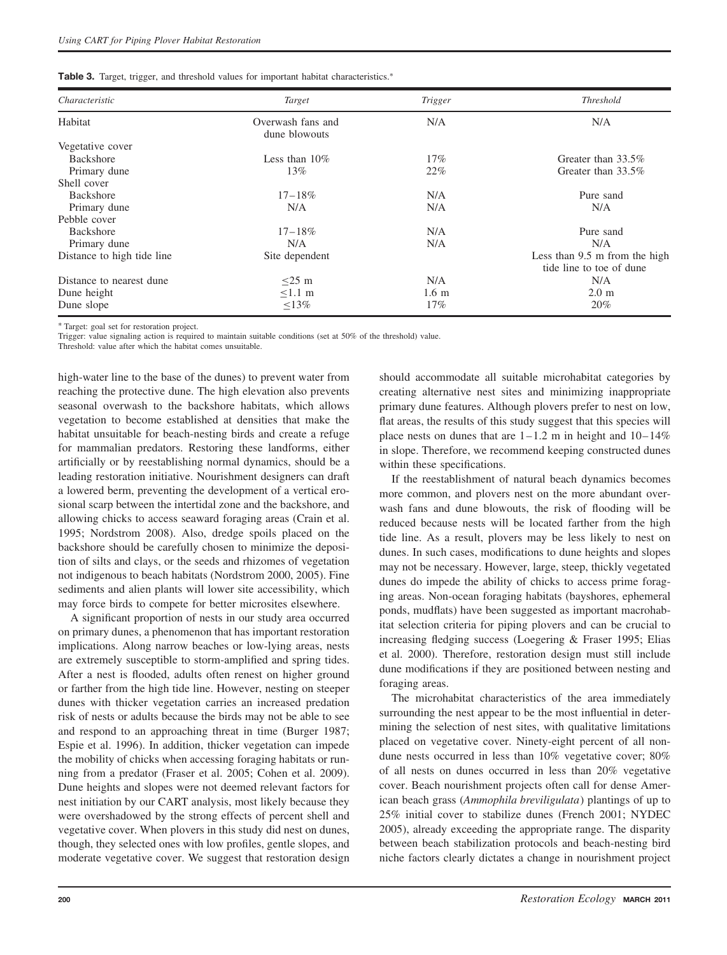|  |  |  |  |  |  |  |  |  | <b>Table 3.</b> Target, trigger, and threshold values for important habitat characteristics. <sup>*</sup> |  |
|--|--|--|--|--|--|--|--|--|-----------------------------------------------------------------------------------------------------------|--|
|--|--|--|--|--|--|--|--|--|-----------------------------------------------------------------------------------------------------------|--|

| Characteristic             | Target                             | <b>Trigger</b>   | Threshold                     |
|----------------------------|------------------------------------|------------------|-------------------------------|
| Habitat                    | Overwash fans and<br>dune blowouts | N/A              | N/A                           |
| Vegetative cover           |                                    |                  |                               |
| Backshore                  | Less than $10\%$                   | 17%              | Greater than $33.5\%$         |
| Primary dune               | 13%                                | 22%              | Greater than 33.5%            |
| Shell cover                |                                    |                  |                               |
| Backshore                  | $17 - 18\%$                        | N/A              | Pure sand                     |
| Primary dune               | N/A                                | N/A              | N/A                           |
| Pebble cover               |                                    |                  |                               |
| <b>Backshore</b>           | $17 - 18\%$                        | N/A              | Pure sand                     |
| Primary dune               | N/A                                | N/A              | N/A                           |
| Distance to high tide line | Site dependent                     |                  | Less than 9.5 m from the high |
|                            |                                    |                  | tide line to toe of dune      |
| Distance to nearest dune   | $<$ 25 m                           | N/A              | N/A                           |
| Dune height                | $\leq 1.1$ m                       | 1.6 <sub>m</sub> | $2.0 \text{ m}$               |
| Dune slope                 | $\leq$ 13%                         | 17%              | 20%                           |

∗ Target: goal set for restoration project.

Trigger: value signaling action is required to maintain suitable conditions (set at 50% of the threshold) value.

Threshold: value after which the habitat comes unsuitable.

high-water line to the base of the dunes) to prevent water from reaching the protective dune. The high elevation also prevents seasonal overwash to the backshore habitats, which allows vegetation to become established at densities that make the habitat unsuitable for beach-nesting birds and create a refuge for mammalian predators. Restoring these landforms, either artificially or by reestablishing normal dynamics, should be a leading restoration initiative. Nourishment designers can draft a lowered berm, preventing the development of a vertical erosional scarp between the intertidal zone and the backshore, and allowing chicks to access seaward foraging areas (Crain et al. 1995; Nordstrom 2008). Also, dredge spoils placed on the backshore should be carefully chosen to minimize the deposition of silts and clays, or the seeds and rhizomes of vegetation not indigenous to beach habitats (Nordstrom 2000, 2005). Fine sediments and alien plants will lower site accessibility, which may force birds to compete for better microsites elsewhere.

A significant proportion of nests in our study area occurred on primary dunes, a phenomenon that has important restoration implications. Along narrow beaches or low-lying areas, nests are extremely susceptible to storm-amplified and spring tides. After a nest is flooded, adults often renest on higher ground or farther from the high tide line. However, nesting on steeper dunes with thicker vegetation carries an increased predation risk of nests or adults because the birds may not be able to see and respond to an approaching threat in time (Burger 1987; Espie et al. 1996). In addition, thicker vegetation can impede the mobility of chicks when accessing foraging habitats or running from a predator (Fraser et al. 2005; Cohen et al. 2009). Dune heights and slopes were not deemed relevant factors for nest initiation by our CART analysis, most likely because they were overshadowed by the strong effects of percent shell and vegetative cover. When plovers in this study did nest on dunes, though, they selected ones with low profiles, gentle slopes, and moderate vegetative cover. We suggest that restoration design

should accommodate all suitable microhabitat categories by creating alternative nest sites and minimizing inappropriate primary dune features. Although plovers prefer to nest on low, flat areas, the results of this study suggest that this species will place nests on dunes that are  $1-1.2$  m in height and  $10-14\%$ in slope. Therefore, we recommend keeping constructed dunes within these specifications.

If the reestablishment of natural beach dynamics becomes more common, and plovers nest on the more abundant overwash fans and dune blowouts, the risk of flooding will be reduced because nests will be located farther from the high tide line. As a result, plovers may be less likely to nest on dunes. In such cases, modifications to dune heights and slopes may not be necessary. However, large, steep, thickly vegetated dunes do impede the ability of chicks to access prime foraging areas. Non-ocean foraging habitats (bayshores, ephemeral ponds, mudflats) have been suggested as important macrohabitat selection criteria for piping plovers and can be crucial to increasing fledging success (Loegering & Fraser 1995; Elias et al. 2000). Therefore, restoration design must still include dune modifications if they are positioned between nesting and foraging areas.

The microhabitat characteristics of the area immediately surrounding the nest appear to be the most influential in determining the selection of nest sites, with qualitative limitations placed on vegetative cover. Ninety-eight percent of all nondune nests occurred in less than 10% vegetative cover; 80% of all nests on dunes occurred in less than 20% vegetative cover. Beach nourishment projects often call for dense American beach grass (*Ammophila breviligulata*) plantings of up to 25% initial cover to stabilize dunes (French 2001; NYDEC 2005), already exceeding the appropriate range. The disparity between beach stabilization protocols and beach-nesting bird niche factors clearly dictates a change in nourishment project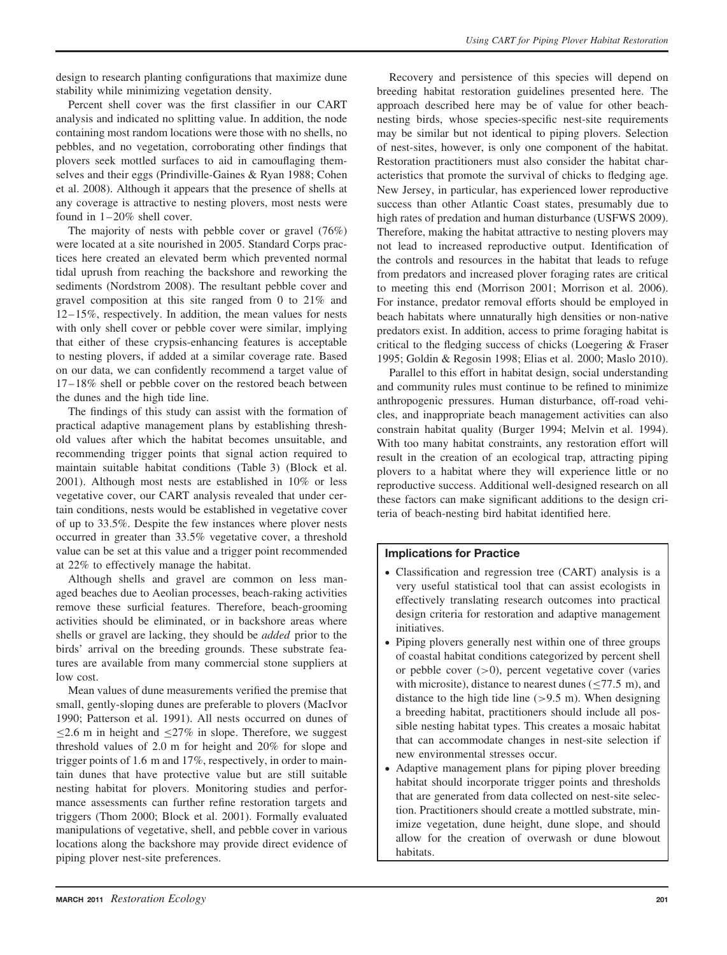design to research planting configurations that maximize dune stability while minimizing vegetation density.

Percent shell cover was the first classifier in our CART analysis and indicated no splitting value. In addition, the node containing most random locations were those with no shells, no pebbles, and no vegetation, corroborating other findings that plovers seek mottled surfaces to aid in camouflaging themselves and their eggs (Prindiville-Gaines & Ryan 1988; Cohen et al. 2008). Although it appears that the presence of shells at any coverage is attractive to nesting plovers, most nests were found in 1–20% shell cover.

The majority of nests with pebble cover or gravel (76%) were located at a site nourished in 2005. Standard Corps practices here created an elevated berm which prevented normal tidal uprush from reaching the backshore and reworking the sediments (Nordstrom 2008). The resultant pebble cover and gravel composition at this site ranged from 0 to 21% and 12–15%, respectively. In addition, the mean values for nests with only shell cover or pebble cover were similar, implying that either of these crypsis-enhancing features is acceptable to nesting plovers, if added at a similar coverage rate. Based on our data, we can confidently recommend a target value of 17–18% shell or pebble cover on the restored beach between the dunes and the high tide line.

The findings of this study can assist with the formation of practical adaptive management plans by establishing threshold values after which the habitat becomes unsuitable, and recommending trigger points that signal action required to maintain suitable habitat conditions (Table 3) (Block et al. 2001). Although most nests are established in 10% or less vegetative cover, our CART analysis revealed that under certain conditions, nests would be established in vegetative cover of up to 33.5%. Despite the few instances where plover nests occurred in greater than 33.5% vegetative cover, a threshold value can be set at this value and a trigger point recommended at 22% to effectively manage the habitat.

Although shells and gravel are common on less managed beaches due to Aeolian processes, beach-raking activities remove these surficial features. Therefore, beach-grooming activities should be eliminated, or in backshore areas where shells or gravel are lacking, they should be *added* prior to the birds' arrival on the breeding grounds. These substrate features are available from many commercial stone suppliers at low cost.

Mean values of dune measurements verified the premise that small, gently-sloping dunes are preferable to plovers (MacIvor 1990; Patterson et al. 1991). All nests occurred on dunes of  $\leq$ 2.6 m in height and  $\leq$ 27% in slope. Therefore, we suggest threshold values of 2.0 m for height and 20% for slope and trigger points of 1.6 m and 17%, respectively, in order to maintain dunes that have protective value but are still suitable nesting habitat for plovers. Monitoring studies and performance assessments can further refine restoration targets and triggers (Thom 2000; Block et al. 2001). Formally evaluated manipulations of vegetative, shell, and pebble cover in various locations along the backshore may provide direct evidence of piping plover nest-site preferences.

Recovery and persistence of this species will depend on breeding habitat restoration guidelines presented here. The approach described here may be of value for other beachnesting birds, whose species-specific nest-site requirements may be similar but not identical to piping plovers. Selection of nest-sites, however, is only one component of the habitat. Restoration practitioners must also consider the habitat characteristics that promote the survival of chicks to fledging age. New Jersey, in particular, has experienced lower reproductive success than other Atlantic Coast states, presumably due to high rates of predation and human disturbance (USFWS 2009). Therefore, making the habitat attractive to nesting plovers may not lead to increased reproductive output. Identification of the controls and resources in the habitat that leads to refuge from predators and increased plover foraging rates are critical to meeting this end (Morrison 2001; Morrison et al. 2006). For instance, predator removal efforts should be employed in beach habitats where unnaturally high densities or non-native predators exist. In addition, access to prime foraging habitat is critical to the fledging success of chicks (Loegering & Fraser 1995; Goldin & Regosin 1998; Elias et al. 2000; Maslo 2010).

Parallel to this effort in habitat design, social understanding and community rules must continue to be refined to minimize anthropogenic pressures. Human disturbance, off-road vehicles, and inappropriate beach management activities can also constrain habitat quality (Burger 1994; Melvin et al. 1994). With too many habitat constraints, any restoration effort will result in the creation of an ecological trap, attracting piping plovers to a habitat where they will experience little or no reproductive success. Additional well-designed research on all these factors can make significant additions to the design criteria of beach-nesting bird habitat identified here.

## **Implications for Practice**

- Classification and regression tree (CART) analysis is a very useful statistical tool that can assist ecologists in effectively translating research outcomes into practical design criteria for restoration and adaptive management initiatives.
- Piping plovers generally nest within one of three groups of coastal habitat conditions categorized by percent shell or pebble cover (*>*0), percent vegetative cover (varies with microsite), distance to nearest dunes (≤77*.*5 m), and distance to the high tide line (*>*9.5 m). When designing a breeding habitat, practitioners should include all possible nesting habitat types. This creates a mosaic habitat that can accommodate changes in nest-site selection if new environmental stresses occur.
- Adaptive management plans for piping plover breeding habitat should incorporate trigger points and thresholds that are generated from data collected on nest-site selection. Practitioners should create a mottled substrate, minimize vegetation, dune height, dune slope, and should allow for the creation of overwash or dune blowout habitats.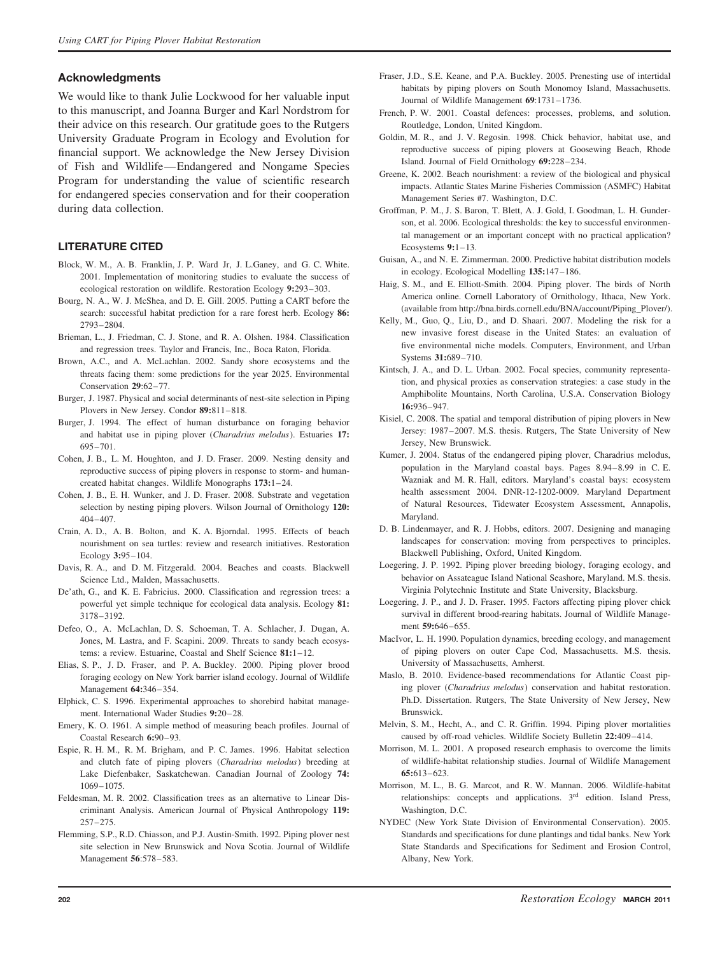#### **Acknowledgments**

We would like to thank Julie Lockwood for her valuable input to this manuscript, and Joanna Burger and Karl Nordstrom for their advice on this research. Our gratitude goes to the Rutgers University Graduate Program in Ecology and Evolution for financial support. We acknowledge the New Jersey Division of Fish and Wildlife—Endangered and Nongame Species Program for understanding the value of scientific research for endangered species conservation and for their cooperation during data collection.

## **LITERATURE CITED**

- Block, W. M., A. B. Franklin, J. P. Ward Jr, J. L.Ganey, and G. C. White. 2001. Implementation of monitoring studies to evaluate the success of ecological restoration on wildlife. Restoration Ecology **9:**293–303.
- Bourg, N. A., W. J. McShea, and D. E. Gill. 2005. Putting a CART before the search: successful habitat prediction for a rare forest herb. Ecology **86:** 2793–2804.
- Brieman, L., J. Friedman, C. J. Stone, and R. A. Olshen. 1984. Classification and regression trees. Taylor and Francis, Inc., Boca Raton, Florida.
- Brown, A.C., and A. McLachlan. 2002. Sandy shore ecosystems and the threats facing them: some predictions for the year 2025. Environmental Conservation **29**:62–77.
- Burger, J. 1987. Physical and social determinants of nest-site selection in Piping Plovers in New Jersey. Condor **89:**811–818.
- Burger, J. 1994. The effect of human disturbance on foraging behavior and habitat use in piping plover (*Charadrius melodus*). Estuaries **17:** 695–701.
- Cohen, J. B., L. M. Houghton, and J. D. Fraser. 2009. Nesting density and reproductive success of piping plovers in response to storm- and humancreated habitat changes. Wildlife Monographs **173:**1–24.
- Cohen, J. B., E. H. Wunker, and J. D. Fraser. 2008. Substrate and vegetation selection by nesting piping plovers. Wilson Journal of Ornithology **120:** 404–407.
- Crain, A. D., A. B. Bolton, and K. A. Bjorndal. 1995. Effects of beach nourishment on sea turtles: review and research initiatives. Restoration Ecology **3:**95–104.
- Davis, R. A., and D. M. Fitzgerald. 2004. Beaches and coasts. Blackwell Science Ltd., Malden, Massachusetts.
- De'ath, G., and K. E. Fabricius. 2000. Classification and regression trees: a powerful yet simple technique for ecological data analysis. Ecology **81:** 3178–3192.
- Defeo, O., A. McLachlan, D. S. Schoeman, T. A. Schlacher, J. Dugan, A. Jones, M. Lastra, and F. Scapini. 2009. Threats to sandy beach ecosystems: a review. Estuarine, Coastal and Shelf Science **81:**1–12.
- Elias, S. P., J. D. Fraser, and P. A. Buckley. 2000. Piping plover brood foraging ecology on New York barrier island ecology. Journal of Wildlife Management **64:**346–354.
- Elphick, C. S. 1996. Experimental approaches to shorebird habitat management. International Wader Studies **9:**20–28.
- Emery, K. O. 1961. A simple method of measuring beach profiles. Journal of Coastal Research **6:**90–93.
- Espie, R. H. M., R. M. Brigham, and P. C. James. 1996. Habitat selection and clutch fate of piping plovers (*Charadrius melodus*) breeding at Lake Diefenbaker, Saskatchewan. Canadian Journal of Zoology **74:** 1069–1075.
- Feldesman, M. R. 2002. Classification trees as an alternative to Linear Discriminant Analysis. American Journal of Physical Anthropology **119:** 257–275.
- Flemming, S.P., R.D. Chiasson, and P.J. Austin-Smith. 1992. Piping plover nest site selection in New Brunswick and Nova Scotia. Journal of Wildlife Management **56**:578–583.
- Fraser, J.D., S.E. Keane, and P.A. Buckley. 2005. Prenesting use of intertidal habitats by piping plovers on South Monomoy Island, Massachusetts. Journal of Wildlife Management **69**:1731–1736.
- French, P. W. 2001. Coastal defences: processes, problems, and solution. Routledge, London, United Kingdom.
- Goldin, M. R., and J. V. Regosin. 1998. Chick behavior, habitat use, and reproductive success of piping plovers at Goosewing Beach, Rhode Island. Journal of Field Ornithology **69:**228–234.
- Greene, K. 2002. Beach nourishment: a review of the biological and physical impacts. Atlantic States Marine Fisheries Commission (ASMFC) Habitat Management Series #7. Washington, D.C.
- Groffman, P. M., J. S. Baron, T. Blett, A. J. Gold, I. Goodman, L. H. Gunderson, et al. 2006. Ecological thresholds: the key to successful environmental management or an important concept with no practical application? Ecosystems **9:**1–13.
- Guisan, A., and N. E. Zimmerman. 2000. Predictive habitat distribution models in ecology. Ecological Modelling **135:**147–186.
- Haig, S. M., and E. Elliott-Smith. 2004. Piping plover. The birds of North America online. Cornell Laboratory of Ornithology, Ithaca, New York. (available from http://bna.birds.cornell.edu/BNA/account/Piping\_Plover/).
- Kelly, M., Guo, Q., Liu, D., and D. Shaari. 2007. Modeling the risk for a new invasive forest disease in the United States: an evaluation of five environmental niche models. Computers, Environment, and Urban Systems **31:**689–710.
- Kintsch, J. A., and D. L. Urban. 2002. Focal species, community representation, and physical proxies as conservation strategies: a case study in the Amphibolite Mountains, North Carolina, U.S.A. Conservation Biology **16:**936–947.
- Kisiel, C. 2008. The spatial and temporal distribution of piping plovers in New Jersey: 1987–2007. M.S. thesis. Rutgers, The State University of New Jersey, New Brunswick.
- Kumer, J. 2004. Status of the endangered piping plover, Charadrius melodus, population in the Maryland coastal bays. Pages 8.94–8.99 in C. E. Wazniak and M. R. Hall, editors. Maryland's coastal bays: ecosystem health assessment 2004. DNR-12-1202-0009. Maryland Department of Natural Resources, Tidewater Ecosystem Assessment, Annapolis, Maryland.
- D. B. Lindenmayer, and R. J. Hobbs, editors. 2007. Designing and managing landscapes for conservation: moving from perspectives to principles. Blackwell Publishing, Oxford, United Kingdom.
- Loegering, J. P. 1992. Piping plover breeding biology, foraging ecology, and behavior on Assateague Island National Seashore, Maryland. M.S. thesis. Virginia Polytechnic Institute and State University, Blacksburg.
- Loegering, J. P., and J. D. Fraser. 1995. Factors affecting piping plover chick survival in different brood-rearing habitats. Journal of Wildlife Management **59:**646–655.
- MacIvor, L. H. 1990. Population dynamics, breeding ecology, and management of piping plovers on outer Cape Cod, Massachusetts. M.S. thesis. University of Massachusetts, Amherst.
- Maslo, B. 2010. Evidence-based recommendations for Atlantic Coast piping plover (*Charadrius melodus*) conservation and habitat restoration. Ph.D. Dissertation. Rutgers, The State University of New Jersey, New Brunswick.
- Melvin, S. M., Hecht, A., and C. R. Griffin. 1994. Piping plover mortalities caused by off-road vehicles. Wildlife Society Bulletin **22:**409–414.
- Morrison, M. L. 2001. A proposed research emphasis to overcome the limits of wildlife-habitat relationship studies. Journal of Wildlife Management **65:**613–623.
- Morrison, M. L., B. G. Marcot, and R. W. Mannan. 2006. Wildlife-habitat relationships: concepts and applications. 3rd edition. Island Press, Washington, D.C.
- NYDEC (New York State Division of Environmental Conservation). 2005. Standards and specifications for dune plantings and tidal banks. New York State Standards and Specifications for Sediment and Erosion Control, Albany, New York.